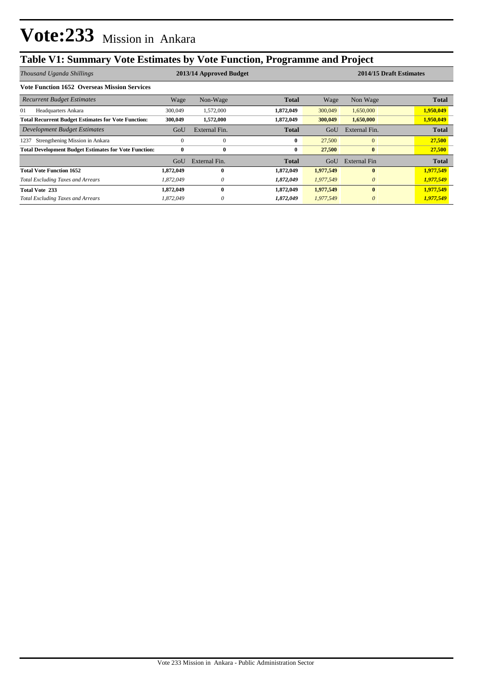## **Table V1: Summary Vote Estimates by Vote Function, Programme and Project**

| Thousand Uganda Shillings                                    | 2013/14 Approved Budget |               |              |           | 2014/15 Draft Estimates |              |  |
|--------------------------------------------------------------|-------------------------|---------------|--------------|-----------|-------------------------|--------------|--|
| <b>Vote Function 1652 Overseas Mission Services</b>          |                         |               |              |           |                         |              |  |
| <b>Recurrent Budget Estimates</b>                            | Wage                    | Non-Wage      | <b>Total</b> | Wage      | Non Wage                | <b>Total</b> |  |
| 01<br>Headquarters Ankara                                    | 300,049                 | 1,572,000     | 1,872,049    | 300,049   | 1,650,000               | 1,950,049    |  |
| <b>Total Recurrent Budget Estimates for Vote Function:</b>   | 300,049                 | 1,572,000     | 1,872,049    | 300,049   | 1,650,000               | 1,950,049    |  |
| Development Budget Estimates                                 | GoU                     | External Fin. | Total        | GoU       | External Fin.           | <b>Total</b> |  |
| Strengthening Mission in Ankara<br>1237                      | $\Omega$                | $\Omega$      | 0            | 27,500    | $\mathbf{0}$            | 27,500       |  |
| <b>Total Development Budget Estimates for Vote Function:</b> | $\bf{0}$                | $\bf{0}$      | 0            | 27,500    | $\bf{0}$                | 27,500       |  |
|                                                              | GoU                     | External Fin. | Total        | GoU       | External Fin            | <b>Total</b> |  |
| <b>Total Vote Function 1652</b>                              | 1,872,049               | 0             | 1,872,049    | 1,977,549 | $\mathbf{0}$            | 1,977,549    |  |
| <b>Total Excluding Taxes and Arrears</b>                     | 1.872.049               | 0             | 1,872,049    | 1,977,549 | $\theta$                | 1,977,549    |  |
| <b>Total Vote 233</b>                                        | 1,872,049               | 0             | 1,872,049    | 1,977,549 | $\mathbf{0}$            | 1,977,549    |  |
| <b>Total Excluding Taxes and Arrears</b>                     | 1,872,049               |               | 1,872,049    | 1,977,549 | $\theta$                | 1,977,549    |  |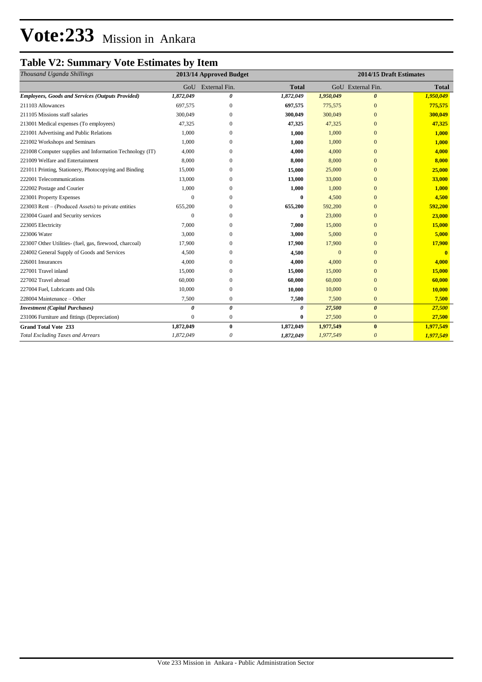## **Vote:233** Mission in Ankara

### **Table V2: Summary Vote Estimates by Item**

| Thousand Uganda Shillings                                |                | 2013/14 Approved Budget |              | 2014/15 Draft Estimates |                       |              |  |
|----------------------------------------------------------|----------------|-------------------------|--------------|-------------------------|-----------------------|--------------|--|
|                                                          |                | GoU External Fin.       | <b>Total</b> |                         | GoU External Fin.     | <b>Total</b> |  |
| <b>Employees, Goods and Services (Outputs Provided)</b>  | 1,872,049      | 0                       | 1,872,049    | 1,950,049               | $\boldsymbol{\theta}$ | 1,950,049    |  |
| 211103 Allowances                                        | 697,575        | $\mathbf{0}$            | 697,575      | 775,575                 | $\mathbf{0}$          | 775,575      |  |
| 211105 Missions staff salaries                           | 300,049        | $\Omega$                | 300,049      | 300,049                 | $\Omega$              | 300,049      |  |
| 213001 Medical expenses (To employees)                   | 47,325         | $\Omega$                | 47,325       | 47,325                  | $\Omega$              | 47,325       |  |
| 221001 Advertising and Public Relations                  | 1,000          | $\Omega$                | 1,000        | 1,000                   | $\Omega$              | 1,000        |  |
| 221002 Workshops and Seminars                            | 1,000          | $\Omega$                | 1,000        | 1,000                   | $\Omega$              | 1,000        |  |
| 221008 Computer supplies and Information Technology (IT) | 4,000          | $\Omega$                | 4,000        | 4,000                   | $\Omega$              | 4,000        |  |
| 221009 Welfare and Entertainment                         | 8,000          | $\Omega$                | 8,000        | 8,000                   | $\Omega$              | 8,000        |  |
| 221011 Printing, Stationery, Photocopying and Binding    | 15,000         | $\mathbf{0}$            | 15,000       | 25,000                  | $\Omega$              | 25,000       |  |
| 222001 Telecommunications                                | 13,000         | $\Omega$                | 13,000       | 33,000                  | $\Omega$              | 33,000       |  |
| 222002 Postage and Courier                               | 1,000          | 0                       | 1,000        | 1,000                   | $\Omega$              | 1,000        |  |
| 223001 Property Expenses                                 |                | $\Omega$                | 0            | 4,500                   | $\Omega$              | 4,500        |  |
| 223003 Rent – (Produced Assets) to private entities      | 655,200        | 0                       | 655,200      | 592,200                 | $\Omega$              | 592,200      |  |
| 223004 Guard and Security services                       | $\Omega$       | $\Omega$                | 0            | 23,000                  | $\Omega$              | 23,000       |  |
| 223005 Electricity                                       | 7,000          | $\Omega$                | 7,000        | 15,000                  | $\Omega$              | 15,000       |  |
| 223006 Water                                             | 3,000          | $\Omega$                | 3,000        | 5,000                   | $\Omega$              | 5,000        |  |
| 223007 Other Utilities- (fuel, gas, firewood, charcoal)  | 17,900         | 0                       | 17,900       | 17,900                  | 0                     | 17,900       |  |
| 224002 General Supply of Goods and Services              | 4,500          | $\Omega$                | 4,500        | $\overline{0}$          | $\Omega$              | $\mathbf{0}$ |  |
| 226001 Insurances                                        | 4,000          | $\Omega$                | 4,000        | 4,000                   | $\Omega$              | 4,000        |  |
| 227001 Travel inland                                     | 15,000         | $\Omega$                | 15,000       | 15,000                  | $\Omega$              | 15,000       |  |
| 227002 Travel abroad                                     | 60,000         | $\Omega$                | 60,000       | 60,000                  | $\Omega$              | 60,000       |  |
| 227004 Fuel, Lubricants and Oils                         | 10,000         | $\Omega$                | 10,000       | 10,000                  | $\Omega$              | 10,000       |  |
| 228004 Maintenance – Other                               | 7,500          | $\mathbf{0}$            | 7,500        | 7,500                   | $\mathbf{0}$          | 7,500        |  |
| <b>Investment</b> (Capital Purchases)                    | $\theta$       | 0                       | 0            | 27,500                  | $\boldsymbol{\theta}$ | 27,500       |  |
| 231006 Furniture and fittings (Depreciation)             | $\overline{0}$ | $\boldsymbol{0}$        | 0            | 27,500                  | $\mathbf{0}$          | 27,500       |  |
| <b>Grand Total Vote 233</b>                              | 1,872,049      | $\bf{0}$                | 1,872,049    | 1,977,549               | $\bf{0}$              | 1,977,549    |  |
| <b>Total Excluding Taxes and Arrears</b>                 | 1,872,049      | 0                       | 1,872,049    | 1,977,549               | $\theta$              | 1,977,549    |  |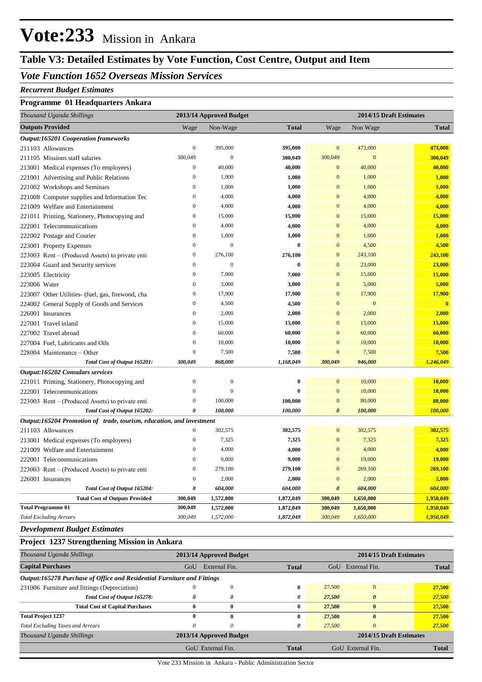## **Vote:233** Mission in Ankara

### **Table V3: Detailed Estimates by Vote Function, Cost Centre, Output and Item**

#### *Vote Function 1652 Overseas Mission Services*

#### *Recurrent Budget Estimates*

#### **Programme 01 Headquarters Ankara**

| Thousand Uganda Shillings                                            | 2013/14 Approved Budget |                  |              | 2014/15 Draft Estimates |                  |                |
|----------------------------------------------------------------------|-------------------------|------------------|--------------|-------------------------|------------------|----------------|
| <b>Outputs Provided</b>                                              | Wage                    | Non-Wage         | <b>Total</b> | Wage                    | Non Wage         | <b>Total</b>   |
| <b>Output:165201 Cooperation frameworks</b>                          |                         |                  |              |                         |                  |                |
| 211103 Allowances                                                    | $\boldsymbol{0}$        | 395,000          | 395,000      | $\mathbf{0}$            | 473,000          | 473,000        |
| 211105 Missions staff salaries                                       | 300,049                 | $\mathbf{0}$     | 300,049      | 300,049                 | $\mathbf{0}$     | 300,049        |
| 213001 Medical expenses (To employees)                               | $\boldsymbol{0}$        | 40,000           | 40,000       | $\mathbf{0}$            | 40,000           | 40,000         |
| 221001 Advertising and Public Relations                              | $\boldsymbol{0}$        | 1,000            | 1,000        | $\mathbf{0}$            | 1,000            | 1,000          |
| 221002 Workshops and Seminars                                        | $\mathbf{0}$            | 1,000            | 1,000        | $\mathbf{0}$            | 1,000            | 1,000          |
| 221008 Computer supplies and Information Tec                         | $\boldsymbol{0}$        | 4,000            | 4,000        | $\mathbf{0}$            | 4,000            | 4,000          |
| 221009 Welfare and Entertainment                                     | $\mathbf{0}$            | 4,000            | 4,000        | $\mathbf{0}$            | 4,000            | 4,000          |
| 221011 Printing, Stationery, Photocopying and                        | $\boldsymbol{0}$        | 15,000           | 15,000       | $\mathbf{0}$            | 15,000           | 15,000         |
| 222001 Telecommunications                                            | $\mathbf{0}$            | 4,000            | 4,000        | $\overline{0}$          | 4,000            | 4,000          |
| 222002 Postage and Courier                                           | $\overline{0}$          | 1,000            | 1,000        | $\overline{0}$          | 1,000            | 1,000          |
| 223001 Property Expenses                                             | $\mathbf{0}$            | $\overline{0}$   | $\bf{0}$     | $\overline{0}$          | 4,500            | 4,500          |
| 223003 Rent – (Produced Assets) to private enti                      | $\boldsymbol{0}$        | 276,100          | 276,100      | $\mathbf{0}$            | 243,100          | 243,100        |
| 223004 Guard and Security services                                   | $\overline{0}$          | $\overline{0}$   | $\bf{0}$     | $\overline{0}$          | 23,000           | 23,000         |
| 223005 Electricity                                                   | $\mathbf{0}$            | 7,000            | 7,000        | $\mathbf{0}$            | 15,000           | 15,000         |
| 223006 Water                                                         | $\mathbf{0}$            | 3,000            | 3,000        | $\mathbf{0}$            | 5,000            | 5,000          |
| 223007 Other Utilities- (fuel, gas, firewood, cha                    | $\boldsymbol{0}$        | 17,900           | 17,900       | $\mathbf{0}$            | 17,900           | <b>17,900</b>  |
| 224002 General Supply of Goods and Services                          | $\boldsymbol{0}$        | 4,500            | 4,500        | $\mathbf{0}$            | $\boldsymbol{0}$ | $\mathbf{0}$   |
| 226001 Insurances                                                    | $\boldsymbol{0}$        | 2,000            | 2,000        | $\mathbf{0}$            | 2,000            | 2,000          |
| 227001 Travel inland                                                 | $\boldsymbol{0}$        | 15,000           | 15,000       | $\mathbf{0}$            | 15,000           | 15,000         |
| 227002 Travel abroad                                                 | $\boldsymbol{0}$        | 60,000           | 60,000       | $\mathbf{0}$            | 60,000           | 60,000         |
| 227004 Fuel, Lubricants and Oils                                     | $\boldsymbol{0}$        | 10,000           | 10,000       | $\mathbf{0}$            | 10,000           | 10,000         |
| 228004 Maintenance – Other                                           | $\boldsymbol{0}$        | 7,500            | 7,500        | $\mathbf{0}$            | 7,500            | 7,500          |
| Total Cost of Output 165201:                                         | 300,049                 | 868,000          | 1,168,049    | 300,049                 | 946,000          | 1,246,049      |
| Output:165202 Consulars services                                     |                         |                  |              |                         |                  |                |
| 221011 Printing, Stationery, Photocopying and                        | $\boldsymbol{0}$        | $\boldsymbol{0}$ | $\bf{0}$     | $\mathbf{0}$            | 10,000           | 10,000         |
| 222001 Telecommunications                                            | $\mathbf{0}$            | $\boldsymbol{0}$ | $\bf{0}$     | $\mathbf{0}$            | 10,000           | 10,000         |
| 223003 Rent – (Produced Assets) to private enti                      | $\boldsymbol{0}$        | 100,000          | 100,000      | $\mathbf{0}$            | 80,000           | 80,000         |
| Total Cost of Output 165202:                                         | $\boldsymbol{\theta}$   | 100,000          | 100,000      | $\boldsymbol{\theta}$   | 100,000          | <b>100,000</b> |
| Output:165204 Promotion of trade, tourism, education, and investment |                         |                  |              |                         |                  |                |
| 211103 Allowances                                                    | $\mathbf{0}$            | 302,575          | 302,575      | $\overline{0}$          | 302,575          | 302,575        |
| 213001 Medical expenses (To employees)                               | $\mathbf{0}$            | 7,325            | 7,325        | $\mathbf{0}$            | 7,325            | 7,325          |
| 221009 Welfare and Entertainment                                     | $\mathbf{0}$            | 4,000            | 4,000        | $\mathbf{0}$            | 4,000            | 4,000          |
| 222001 Telecommunications                                            | $\boldsymbol{0}$        | 9,000            | 9,000        | $\mathbf{0}$            | 19,000           | 19,000         |
| 223003 Rent – (Produced Assets) to private enti                      | $\boldsymbol{0}$        | 279,100          | 279,100      | $\mathbf{0}$            | 269,100          | 269,100        |
| 226001 Insurances                                                    | $\boldsymbol{0}$        | 2,000            | 2,000        | $\mathbf{0}$            | 2,000            | 2,000          |
| Total Cost of Output 165204:                                         | 0                       | 604,000          | 604,000      | $\boldsymbol{\theta}$   | 604,000          | 604,000        |
| <b>Total Cost of Outputs Provided</b>                                | 300,049                 | 1,572,000        | 1,872,049    | 300,049                 | 1,650,000        | 1,950,049      |
| <b>Total Programme 01</b>                                            | 300,049                 | 1,572,000        | 1,872,049    | 300,049                 | 1,650,000        | 1,950,049      |
| <b>Total Excluding Arrears</b>                                       | 300,049                 | 1,572,000        | 1,872,049    | 300,049                 | 1,650,000        | 1,950,049      |

*Development Budget Estimates*

#### **Project 1237 Strengthening Mission in Ankara**

| Thousand Uganda Shillings                                               |     | 2013/14 Approved Budget |              | 2014/15 Draft Estimates |                         |              |
|-------------------------------------------------------------------------|-----|-------------------------|--------------|-------------------------|-------------------------|--------------|
| <b>Capital Purchases</b>                                                | GoU | External Fin.           | <b>Total</b> | GoU                     | External Fin.           | <b>Total</b> |
| Output:165278 Purchase of Office and Residential Furniture and Fittings |     |                         |              |                         |                         |              |
| 231006 Furniture and fittings (Depreciation)                            |     | -0                      | 0            | 27,500                  |                         | 27,500       |
| Total Cost of Output 165278:                                            | 0   | 0                       | 0            | 27,500                  | $\theta$                | 27,500       |
| <b>Total Cost of Capital Purchases</b>                                  | 0   | $\bf{0}$                | 0            | 27,500                  | $\mathbf{0}$            | 27,500       |
| <b>Total Project 1237</b>                                               | 0   | $\mathbf{0}$            | 0            | 27,500                  | 0                       | 27,500       |
| <b>Total Excluding Taxes and Arrears</b>                                | 0   | $\theta$                | 0            | 27,500                  | 0                       | 27,500       |
| Thousand Uganda Shillings                                               |     | 2013/14 Approved Budget |              |                         | 2014/15 Draft Estimates |              |
|                                                                         |     | GoU External Fin.       | <b>Total</b> |                         | GoU External Fin.       | Total        |